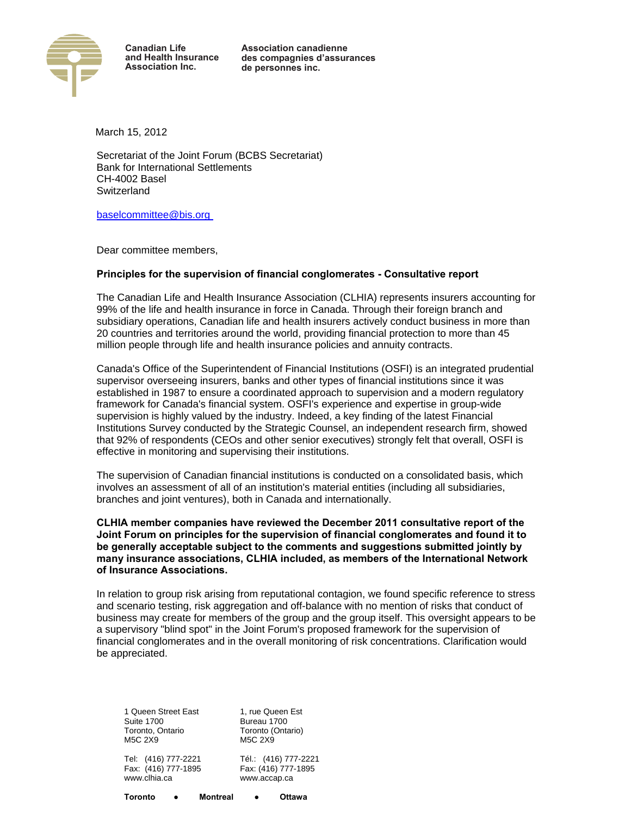

**Association canadienne** des compagnies d'assurances de personnes inc.

March 15, 2012

Secretariat of the Joint Forum (BCBS Secretariat) Bank for International Settlements CH-4002 Basel **Switzerland** 

[baselcommittee@bis.org](mailto:baselcommittee@bis.org) 

Dear committee members,

## **Principles for the supervision of financial conglomerates - Consultative report**

The Canadian Life and Health Insurance Association (CLHIA) represents insurers accounting for 99% of the life and health insurance in force in Canada. Through their foreign branch and subsidiary operations, Canadian life and health insurers actively conduct business in more than 20 countries and territories around the world, providing financial protection to more than 45 million people through life and health insurance policies and annuity contracts.

Canada's Office of the Superintendent of Financial Institutions (OSFI) is an integrated prudential supervisor overseeing insurers, banks and other types of financial institutions since it was established in 1987 to ensure a coordinated approach to supervision and a modern regulatory framework for Canada's financial system. OSFI's experience and expertise in group-wide supervision is highly valued by the industry. Indeed, a key finding of the latest Financial Institutions Survey conducted by the Strategic Counsel, an independent research firm, showed that 92% of respondents (CEOs and other senior executives) strongly felt that overall, OSFI is effective in monitoring and supervising their institutions.

The supervision of Canadian financial institutions is conducted on a consolidated basis, which involves an assessment of all of an institution's material entities (including all subsidiaries, branches and joint ventures), both in Canada and internationally.

**CLHIA member companies have reviewed the December 2011 consultative report of the Joint Forum on principles for the supervision of financial conglomerates and found it to be generally acceptable subject to the comments and suggestions submitted jointly by many insurance associations, CLHIA included, as members of the International Network of Insurance Associations.** 

In relation to group risk arising from reputational contagion, we found specific reference to stress and scenario testing, risk aggregation and off-balance with no mention of risks that conduct of business may create for members of the group and the group itself. This oversight appears to be a supervisory "blind spot" in the Joint Forum's proposed framework for the supervision of financial conglomerates and in the overall monitoring of risk concentrations. Clarification would be appreciated.

1 Queen Street East Suite 1700 Toronto, Ontario M5C 2X9

Tel: (416) 777-2221 Fax: (416) 777-1895 www.clhia.ca

Tél.: (416) 777-2221 Toronto (Ontario) M5C 2X9

1, rue Queen Est Bureau 1700

Fax: (416) 777-1895 www.accap.ca

**Toronto ● Montreal ● Ottawa**